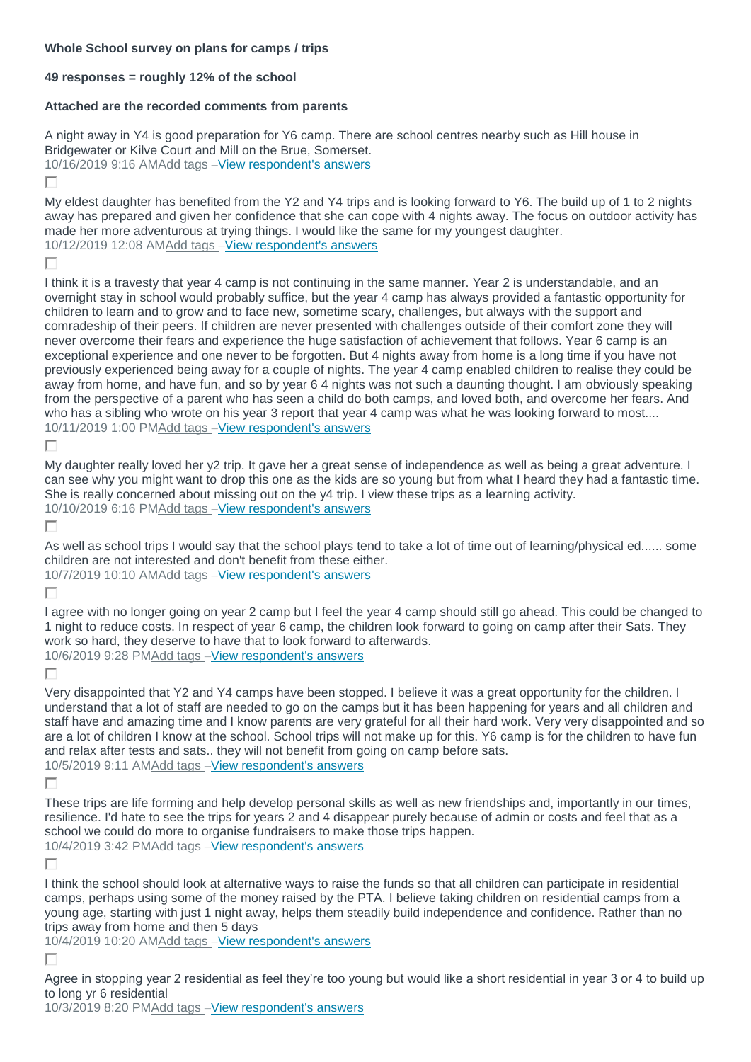## **Whole School survey on plans for camps / trips**

## **49 responses = roughly 12% of the school**

## **Attached are the recorded comments from parents**

A night away in Y4 is good preparation for Y6 camp. There are school centres nearby such as Hill house in Bridgewater or Kilve Court and Mill on the Brue, Somerset. 10/16/2019 9:16 A[MAdd tags](https://www.surveymonkey.com/analyze/cjJ3YjTa7AEe3_2FDkQ_2FcHXYKQTJo4R6B9auVoeCi6opA_3D?tab_clicked=1) –[View respondent's answers](https://www.surveymonkey.com/analyze/cjJ3YjTa7AEe3_2FDkQ_2FcHXYKQTJo4R6B9auVoeCi6opA_3D?tab_clicked=1)

г

My eldest daughter has benefited from the Y2 and Y4 trips and is looking forward to Y6. The build up of 1 to 2 nights away has prepared and given her confidence that she can cope with 4 nights away. The focus on outdoor activity has made her more adventurous at trying things. I would like the same for my youngest daughter. 10/12/2019 12:08 A[MAdd tags](https://www.surveymonkey.com/analyze/cjJ3YjTa7AEe3_2FDkQ_2FcHXYKQTJo4R6B9auVoeCi6opA_3D?tab_clicked=1) –[View respondent's answers](https://www.surveymonkey.com/analyze/cjJ3YjTa7AEe3_2FDkQ_2FcHXYKQTJo4R6B9auVoeCi6opA_3D?tab_clicked=1)

П

I think it is a travesty that year 4 camp is not continuing in the same manner. Year 2 is understandable, and an overnight stay in school would probably suffice, but the year 4 camp has always provided a fantastic opportunity for children to learn and to grow and to face new, sometime scary, challenges, but always with the support and comradeship of their peers. If children are never presented with challenges outside of their comfort zone they will never overcome their fears and experience the huge satisfaction of achievement that follows. Year 6 camp is an exceptional experience and one never to be forgotten. But 4 nights away from home is a long time if you have not previously experienced being away for a couple of nights. The year 4 camp enabled children to realise they could be away from home, and have fun, and so by year 6 4 nights was not such a daunting thought. I am obviously speaking from the perspective of a parent who has seen a child do both camps, and loved both, and overcome her fears. And who has a sibling who wrote on his year 3 report that year 4 camp was what he was looking forward to most.... 10/11/2019 1:00 P[MAdd tags](https://www.surveymonkey.com/analyze/cjJ3YjTa7AEe3_2FDkQ_2FcHXYKQTJo4R6B9auVoeCi6opA_3D?tab_clicked=1) –[View respondent's answers](https://www.surveymonkey.com/analyze/cjJ3YjTa7AEe3_2FDkQ_2FcHXYKQTJo4R6B9auVoeCi6opA_3D?tab_clicked=1)

Е

My daughter really loved her y2 trip. It gave her a great sense of independence as well as being a great adventure. I can see why you might want to drop this one as the kids are so young but from what I heard they had a fantastic time. She is really concerned about missing out on the y4 trip. I view these trips as a learning activity. 10/10/2019 6:16 P[MAdd tags](https://www.surveymonkey.com/analyze/cjJ3YjTa7AEe3_2FDkQ_2FcHXYKQTJo4R6B9auVoeCi6opA_3D?tab_clicked=1) –[View respondent's answers](https://www.surveymonkey.com/analyze/cjJ3YjTa7AEe3_2FDkQ_2FcHXYKQTJo4R6B9auVoeCi6opA_3D?tab_clicked=1)

г

As well as school trips I would say that the school plays tend to take a lot of time out of learning/physical ed...... some children are not interested and don't benefit from these either.

10/7/2019 10:10 A[MAdd tags](https://www.surveymonkey.com/analyze/cjJ3YjTa7AEe3_2FDkQ_2FcHXYKQTJo4R6B9auVoeCi6opA_3D?tab_clicked=1) –[View respondent's answers](https://www.surveymonkey.com/analyze/cjJ3YjTa7AEe3_2FDkQ_2FcHXYKQTJo4R6B9auVoeCi6opA_3D?tab_clicked=1)

П

I agree with no longer going on year 2 camp but I feel the year 4 camp should still go ahead. This could be changed to 1 night to reduce costs. In respect of year 6 camp, the children look forward to going on camp after their Sats. They work so hard, they deserve to have that to look forward to afterwards. 10/6/2019 9:28 P[MAdd tags](https://www.surveymonkey.com/analyze/cjJ3YjTa7AEe3_2FDkQ_2FcHXYKQTJo4R6B9auVoeCi6opA_3D?tab_clicked=1) –[View respondent's answers](https://www.surveymonkey.com/analyze/cjJ3YjTa7AEe3_2FDkQ_2FcHXYKQTJo4R6B9auVoeCi6opA_3D?tab_clicked=1)

Г

Very disappointed that Y2 and Y4 camps have been stopped. I believe it was a great opportunity for the children. I understand that a lot of staff are needed to go on the camps but it has been happening for years and all children and staff have and amazing time and I know parents are very grateful for all their hard work. Very very disappointed and so are a lot of children I know at the school. School trips will not make up for this. Y6 camp is for the children to have fun and relax after tests and sats.. they will not benefit from going on camp before sats. 10/5/2019 9:11 A[MAdd tags](https://www.surveymonkey.com/analyze/cjJ3YjTa7AEe3_2FDkQ_2FcHXYKQTJo4R6B9auVoeCi6opA_3D?tab_clicked=1) –[View respondent's answers](https://www.surveymonkey.com/analyze/cjJ3YjTa7AEe3_2FDkQ_2FcHXYKQTJo4R6B9auVoeCi6opA_3D?tab_clicked=1)

П

These trips are life forming and help develop personal skills as well as new friendships and, importantly in our times, resilience. I'd hate to see the trips for years 2 and 4 disappear purely because of admin or costs and feel that as a school we could do more to organise fundraisers to make those trips happen. 10/4/2019 3:42 P[MAdd tags](https://www.surveymonkey.com/analyze/cjJ3YjTa7AEe3_2FDkQ_2FcHXYKQTJo4R6B9auVoeCi6opA_3D?tab_clicked=1) –[View respondent's answers](https://www.surveymonkey.com/analyze/cjJ3YjTa7AEe3_2FDkQ_2FcHXYKQTJo4R6B9auVoeCi6opA_3D?tab_clicked=1)

П

I think the school should look at alternative ways to raise the funds so that all children can participate in residential camps, perhaps using some of the money raised by the PTA. I believe taking children on residential camps from a young age, starting with just 1 night away, helps them steadily build independence and confidence. Rather than no trips away from home and then 5 days

10/4/2019 10:20 A[MAdd tags](https://www.surveymonkey.com/analyze/cjJ3YjTa7AEe3_2FDkQ_2FcHXYKQTJo4R6B9auVoeCi6opA_3D?tab_clicked=1) –[View respondent's answers](https://www.surveymonkey.com/analyze/cjJ3YjTa7AEe3_2FDkQ_2FcHXYKQTJo4R6B9auVoeCi6opA_3D?tab_clicked=1)

П

Agree in stopping year 2 residential as feel they're too young but would like a short residential in year 3 or 4 to build up to long yr 6 residential

10/3/2019 8:20 P[MAdd tags](https://www.surveymonkey.com/analyze/cjJ3YjTa7AEe3_2FDkQ_2FcHXYKQTJo4R6B9auVoeCi6opA_3D?tab_clicked=1) –[View respondent's answers](https://www.surveymonkey.com/analyze/cjJ3YjTa7AEe3_2FDkQ_2FcHXYKQTJo4R6B9auVoeCi6opA_3D?tab_clicked=1)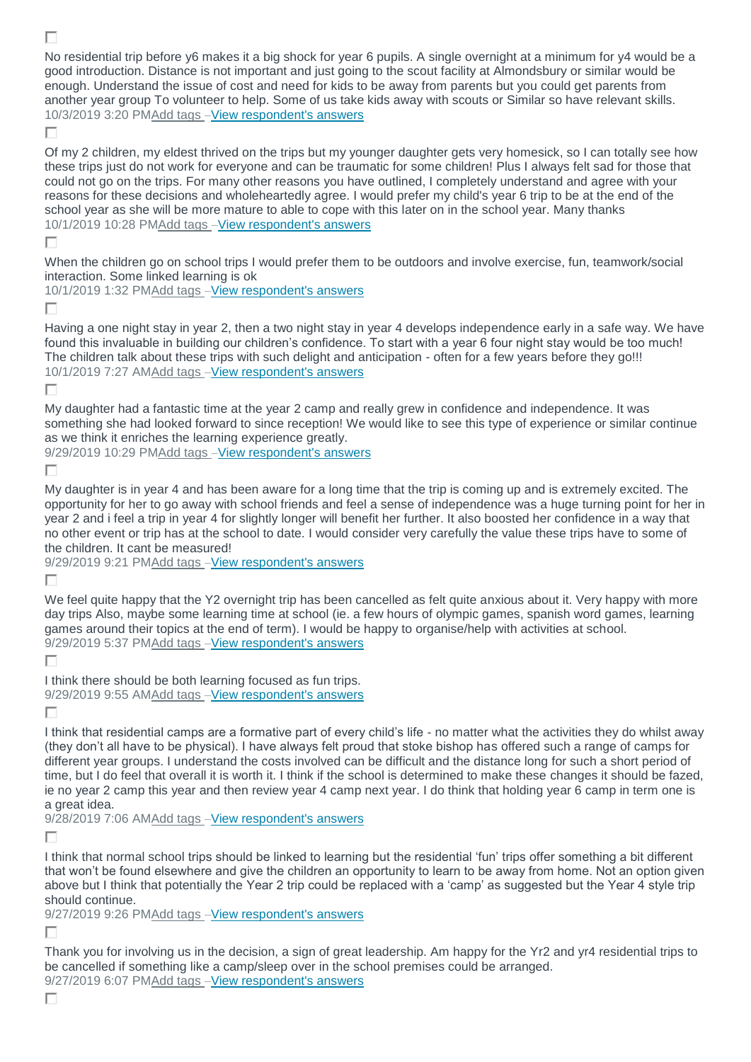No residential trip before y6 makes it a big shock for year 6 pupils. A single overnight at a minimum for y4 would be a good introduction. Distance is not important and just going to the scout facility at Almondsbury or similar would be enough. Understand the issue of cost and need for kids to be away from parents but you could get parents from another year group To volunteer to help. Some of us take kids away with scouts or Similar so have relevant skills. 10/3/2019 3:20 P[MAdd tags](https://www.surveymonkey.com/analyze/cjJ3YjTa7AEe3_2FDkQ_2FcHXYKQTJo4R6B9auVoeCi6opA_3D?tab_clicked=1) –[View respondent's answers](https://www.surveymonkey.com/analyze/cjJ3YjTa7AEe3_2FDkQ_2FcHXYKQTJo4R6B9auVoeCi6opA_3D?tab_clicked=1)

## п

г

Of my 2 children, my eldest thrived on the trips but my younger daughter gets very homesick, so I can totally see how these trips just do not work for everyone and can be traumatic for some children! Plus I always felt sad for those that could not go on the trips. For many other reasons you have outlined, I completely understand and agree with your reasons for these decisions and wholeheartedly agree. I would prefer my child's year 6 trip to be at the end of the school year as she will be more mature to able to cope with this later on in the school year. Many thanks 10/1/2019 10:28 P[MAdd tags](https://www.surveymonkey.com/analyze/cjJ3YjTa7AEe3_2FDkQ_2FcHXYKQTJo4R6B9auVoeCi6opA_3D?tab_clicked=1) –[View respondent's answers](https://www.surveymonkey.com/analyze/cjJ3YjTa7AEe3_2FDkQ_2FcHXYKQTJo4R6B9auVoeCi6opA_3D?tab_clicked=1)

П

When the children go on school trips I would prefer them to be outdoors and involve exercise, fun, teamwork/social interaction. Some linked learning is ok

10/1/2019 1:32 P[MAdd tags](https://www.surveymonkey.com/analyze/cjJ3YjTa7AEe3_2FDkQ_2FcHXYKQTJo4R6B9auVoeCi6opA_3D?tab_clicked=1) –[View respondent's answers](https://www.surveymonkey.com/analyze/cjJ3YjTa7AEe3_2FDkQ_2FcHXYKQTJo4R6B9auVoeCi6opA_3D?tab_clicked=1)

П

Having a one night stay in year 2, then a two night stay in year 4 develops independence early in a safe way. We have found this invaluable in building our children's confidence. To start with a year 6 four night stay would be too much! The children talk about these trips with such delight and anticipation - often for a few years before they go!!! 10/1/2019 7:27 A[MAdd tags](https://www.surveymonkey.com/analyze/cjJ3YjTa7AEe3_2FDkQ_2FcHXYKQTJo4R6B9auVoeCi6opA_3D?tab_clicked=1) –[View respondent's answers](https://www.surveymonkey.com/analyze/cjJ3YjTa7AEe3_2FDkQ_2FcHXYKQTJo4R6B9auVoeCi6opA_3D?tab_clicked=1)

Г

My daughter had a fantastic time at the year 2 camp and really grew in confidence and independence. It was something she had looked forward to since reception! We would like to see this type of experience or similar continue as we think it enriches the learning experience greatly.

9/29/2019 10:29 P[MAdd tags](https://www.surveymonkey.com/analyze/cjJ3YjTa7AEe3_2FDkQ_2FcHXYKQTJo4R6B9auVoeCi6opA_3D?tab_clicked=1) –[View respondent's answers](https://www.surveymonkey.com/analyze/cjJ3YjTa7AEe3_2FDkQ_2FcHXYKQTJo4R6B9auVoeCi6opA_3D?tab_clicked=1)

г

My daughter is in year 4 and has been aware for a long time that the trip is coming up and is extremely excited. The opportunity for her to go away with school friends and feel a sense of independence was a huge turning point for her in year 2 and i feel a trip in year 4 for slightly longer will benefit her further. It also boosted her confidence in a way that no other event or trip has at the school to date. I would consider very carefully the value these trips have to some of the children. It cant be measured!

9/29/2019 9:21 P[MAdd tags](https://www.surveymonkey.com/analyze/cjJ3YjTa7AEe3_2FDkQ_2FcHXYKQTJo4R6B9auVoeCi6opA_3D?tab_clicked=1) –[View respondent's answers](https://www.surveymonkey.com/analyze/cjJ3YjTa7AEe3_2FDkQ_2FcHXYKQTJo4R6B9auVoeCi6opA_3D?tab_clicked=1)

г

We feel quite happy that the Y2 overnight trip has been cancelled as felt quite anxious about it. Very happy with more day trips Also, maybe some learning time at school (ie. a few hours of olympic games, spanish word games, learning games around their topics at the end of term). I would be happy to organise/help with activities at school. 9/29/2019 5:37 P[MAdd tags](https://www.surveymonkey.com/analyze/cjJ3YjTa7AEe3_2FDkQ_2FcHXYKQTJo4R6B9auVoeCi6opA_3D?tab_clicked=1) –[View respondent's answers](https://www.surveymonkey.com/analyze/cjJ3YjTa7AEe3_2FDkQ_2FcHXYKQTJo4R6B9auVoeCi6opA_3D?tab_clicked=1)

П

I think there should be both learning focused as fun trips. 9/29/2019 9:55 A[MAdd tags](https://www.surveymonkey.com/analyze/cjJ3YjTa7AEe3_2FDkQ_2FcHXYKQTJo4R6B9auVoeCi6opA_3D?tab_clicked=1) –[View respondent's answers](https://www.surveymonkey.com/analyze/cjJ3YjTa7AEe3_2FDkQ_2FcHXYKQTJo4R6B9auVoeCi6opA_3D?tab_clicked=1)

П

I think that residential camps are a formative part of every child's life - no matter what the activities they do whilst away (they don't all have to be physical). I have always felt proud that stoke bishop has offered such a range of camps for different year groups. I understand the costs involved can be difficult and the distance long for such a short period of time, but I do feel that overall it is worth it. I think if the school is determined to make these changes it should be fazed, ie no year 2 camp this year and then review year 4 camp next year. I do think that holding year 6 camp in term one is a great idea.

9/28/2019 7:06 A[MAdd tags](https://www.surveymonkey.com/analyze/cjJ3YjTa7AEe3_2FDkQ_2FcHXYKQTJo4R6B9auVoeCi6opA_3D?tab_clicked=1) -[View respondent's answers](https://www.surveymonkey.com/analyze/cjJ3YjTa7AEe3_2FDkQ_2FcHXYKQTJo4R6B9auVoeCi6opA_3D?tab_clicked=1)

г

I think that normal school trips should be linked to learning but the residential 'fun' trips offer something a bit different that won't be found elsewhere and give the children an opportunity to learn to be away from home. Not an option given above but I think that potentially the Year 2 trip could be replaced with a 'camp' as suggested but the Year 4 style trip should continue.

9/27/2019 9:26 P[MAdd tags](https://www.surveymonkey.com/analyze/cjJ3YjTa7AEe3_2FDkQ_2FcHXYKQTJo4R6B9auVoeCi6opA_3D?tab_clicked=1) -[View respondent's answers](https://www.surveymonkey.com/analyze/cjJ3YjTa7AEe3_2FDkQ_2FcHXYKQTJo4R6B9auVoeCi6opA_3D?tab_clicked=1)

П

Thank you for involving us in the decision, a sign of great leadership. Am happy for the Yr2 and yr4 residential trips to be cancelled if something like a camp/sleep over in the school premises could be arranged. 9/27/2019 6:07 P[MAdd tags](https://www.surveymonkey.com/analyze/cjJ3YjTa7AEe3_2FDkQ_2FcHXYKQTJo4R6B9auVoeCi6opA_3D?tab_clicked=1) –[View respondent's answers](https://www.surveymonkey.com/analyze/cjJ3YjTa7AEe3_2FDkQ_2FcHXYKQTJo4R6B9auVoeCi6opA_3D?tab_clicked=1)